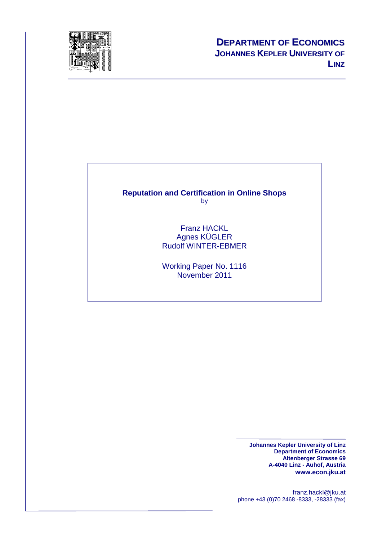

#### **Reputation and Certification in Online Shops**  by

Franz HACKL Agnes KÜGLER Rudolf WINTER-EBMER

Working Paper No. 1116 November 2011

> **Johannes Kepler University of Linz Department of Economics Altenberger Strasse 69 A-4040 Linz - Auhof, Austria www.econ.jku.at**

franz.hackl@jku.at phone +43 (0)70 2468 -8333, -28333 (fax)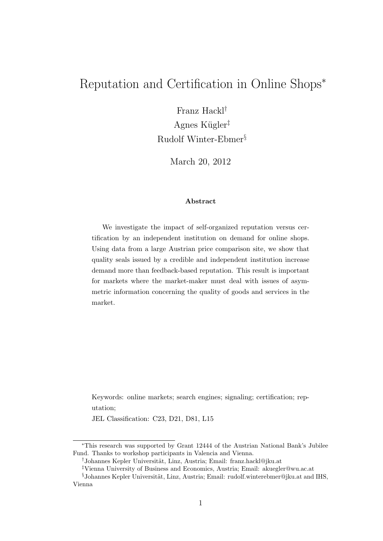### Reputation and Certification in Online Shops<sup>∗</sup>

Franz Hackl† Agnes Kügler<sup>‡</sup>

Rudolf Winter-Ebmer§

March 20, 2012

#### Abstract

We investigate the impact of self-organized reputation versus certification by an independent institution on demand for online shops. Using data from a large Austrian price comparison site, we show that quality seals issued by a credible and independent institution increase demand more than feedback-based reputation. This result is important for markets where the market-maker must deal with issues of asymmetric information concerning the quality of goods and services in the market.

Keywords: online markets; search engines; signaling; certification; reputation;

JEL Classification: C23, D21, D81, L15

<sup>∗</sup>This research was supported by Grant 12444 of the Austrian National Bank's Jubilee Fund. Thanks to workshop participants in Valencia and Vienna.

<sup>&</sup>lt;sup>†</sup>Johannes Kepler Universität, Linz, Austria; Email: franz.hackl@jku.at

<sup>‡</sup>Vienna University of Business and Economics, Austria; Email: akuegler@wu.ac.at

 $§$ Johannes Kepler Universität, Linz, Austria; Email: rudolf.winterebmer@jku.at and IHS, Vienna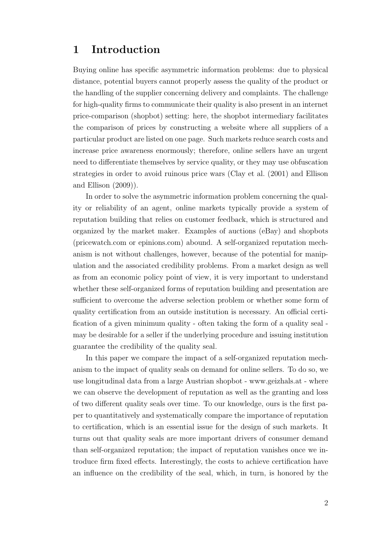#### 1 Introduction

Buying online has specific asymmetric information problems: due to physical distance, potential buyers cannot properly assess the quality of the product or the handling of the supplier concerning delivery and complaints. The challenge for high-quality firms to communicate their quality is also present in an internet price-comparison (shopbot) setting: here, the shopbot intermediary facilitates the comparison of prices by constructing a website where all suppliers of a particular product are listed on one page. Such markets reduce search costs and increase price awareness enormously; therefore, online sellers have an urgent need to differentiate themselves by service quality, or they may use obfuscation strategies in order to avoid ruinous price wars (Clay et al. (2001) and Ellison and Ellison (2009)).

In order to solve the asymmetric information problem concerning the quality or reliability of an agent, online markets typically provide a system of reputation building that relies on customer feedback, which is structured and organized by the market maker. Examples of auctions (eBay) and shopbots (pricewatch.com or epinions.com) abound. A self-organized reputation mechanism is not without challenges, however, because of the potential for manipulation and the associated credibility problems. From a market design as well as from an economic policy point of view, it is very important to understand whether these self-organized forms of reputation building and presentation are sufficient to overcome the adverse selection problem or whether some form of quality certification from an outside institution is necessary. An official certification of a given minimum quality - often taking the form of a quality seal may be desirable for a seller if the underlying procedure and issuing institution guarantee the credibility of the quality seal.

In this paper we compare the impact of a self-organized reputation mechanism to the impact of quality seals on demand for online sellers. To do so, we use longitudinal data from a large Austrian shopbot - www.geizhals.at - where we can observe the development of reputation as well as the granting and loss of two different quality seals over time. To our knowledge, ours is the first paper to quantitatively and systematically compare the importance of reputation to certification, which is an essential issue for the design of such markets. It turns out that quality seals are more important drivers of consumer demand than self-organized reputation; the impact of reputation vanishes once we introduce firm fixed effects. Interestingly, the costs to achieve certification have an influence on the credibility of the seal, which, in turn, is honored by the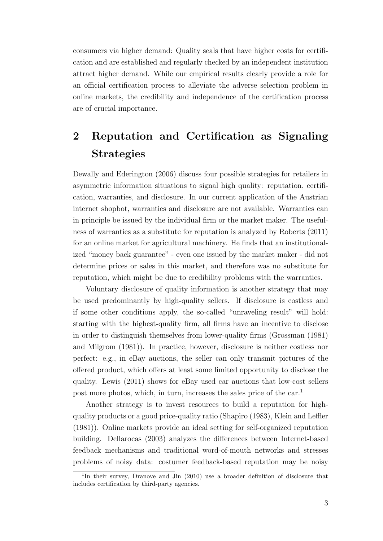consumers via higher demand: Quality seals that have higher costs for certification and are established and regularly checked by an independent institution attract higher demand. While our empirical results clearly provide a role for an official certification process to alleviate the adverse selection problem in online markets, the credibility and independence of the certification process are of crucial importance.

## 2 Reputation and Certification as Signaling Strategies

Dewally and Ederington (2006) discuss four possible strategies for retailers in asymmetric information situations to signal high quality: reputation, certification, warranties, and disclosure. In our current application of the Austrian internet shopbot, warranties and disclosure are not available. Warranties can in principle be issued by the individual firm or the market maker. The usefulness of warranties as a substitute for reputation is analyzed by Roberts (2011) for an online market for agricultural machinery. He finds that an institutionalized "money back guarantee" - even one issued by the market maker - did not determine prices or sales in this market, and therefore was no substitute for reputation, which might be due to credibility problems with the warranties.

Voluntary disclosure of quality information is another strategy that may be used predominantly by high-quality sellers. If disclosure is costless and if some other conditions apply, the so-called "unraveling result" will hold: starting with the highest-quality firm, all firms have an incentive to disclose in order to distinguish themselves from lower-quality firms (Grossman (1981) and Milgrom (1981)). In practice, however, disclosure is neither costless nor perfect: e.g., in eBay auctions, the seller can only transmit pictures of the offered product, which offers at least some limited opportunity to disclose the quality. Lewis (2011) shows for eBay used car auctions that low-cost sellers post more photos, which, in turn, increases the sales price of the car.<sup>1</sup>

Another strategy is to invest resources to build a reputation for highquality products or a good price-quality ratio (Shapiro (1983), Klein and Leffler (1981)). Online markets provide an ideal setting for self-organized reputation building. Dellarocas (2003) analyzes the differences between Internet-based feedback mechanisms and traditional word-of-mouth networks and stresses problems of noisy data: costumer feedback-based reputation may be noisy

<sup>&</sup>lt;sup>1</sup>In their survey, Dranove and Jin (2010) use a broader definition of disclosure that includes certification by third-party agencies.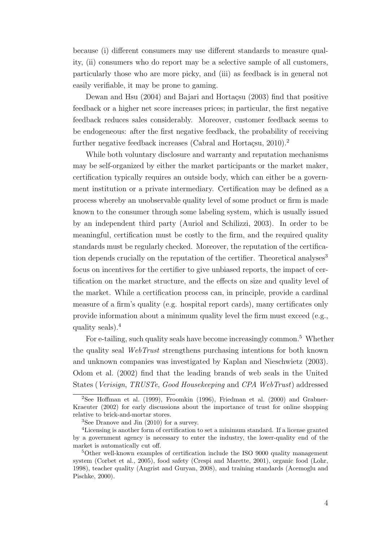because (i) different consumers may use different standards to measure quality, (ii) consumers who do report may be a selective sample of all customers, particularly those who are more picky, and (iii) as feedback is in general not easily verifiable, it may be prone to gaming.

Dewan and Hsu  $(2004)$  and Bajari and Hortacsu  $(2003)$  find that positive feedback or a higher net score increases prices; in particular, the first negative feedback reduces sales considerably. Moreover, customer feedback seems to be endogeneous: after the first negative feedback, the probability of receiving further negative feedback increases (Cabral and Hortaçsu,  $2010$ ).<sup>2</sup>

While both voluntary disclosure and warranty and reputation mechanisms may be self-organized by either the market participants or the market maker, certification typically requires an outside body, which can either be a government institution or a private intermediary. Certification may be defined as a process whereby an unobservable quality level of some product or firm is made known to the consumer through some labeling system, which is usually issued by an independent third party (Auriol and Schilizzi, 2003). In order to be meaningful, certification must be costly to the firm, and the required quality standards must be regularly checked. Moreover, the reputation of the certification depends crucially on the reputation of the certifier. Theoretical analyses<sup>3</sup> focus on incentives for the certifier to give unbiased reports, the impact of certification on the market structure, and the effects on size and quality level of the market. While a certification process can, in principle, provide a cardinal measure of a firm's quality (e.g. hospital report cards), many certificates only provide information about a minimum quality level the firm must exceed (e.g., quality seals).<sup>4</sup>

For e-tailing, such quality seals have become increasingly common.<sup>5</sup> Whether the quality seal WebTrust strengthens purchasing intentions for both known and unknown companies was investigated by Kaplan and Nieschwietz (2003). Odom et al. (2002) find that the leading brands of web seals in the United States (Verisign, TRUSTe, Good Housekeeping and CPA WebTrust) addressed

<sup>&</sup>lt;sup>2</sup>See Hoffman et al. (1999), Froomkin (1996), Friedman et al. (2000) and Grabner-Kraeuter (2002) for early discussions about the importance of trust for online shopping relative to brick-and-mortar stores.

<sup>3</sup>See Dranove and Jin (2010) for a survey.

<sup>4</sup>Licensing is another form of certification to set a minimum standard. If a license granted by a government agency is necessary to enter the industry, the lower-quality end of the market is automatically cut off.

<sup>5</sup>Other well-known examples of certification include the ISO 9000 quality management system (Corbet et al., 2005), food safety (Crespi and Marette, 2001), organic food (Lohr, 1998), teacher quality (Angrist and Guryan, 2008), and training standards (Acemoglu and Pischke, 2000).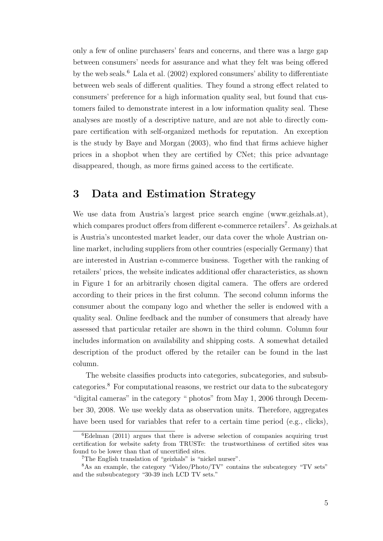only a few of online purchasers' fears and concerns, and there was a large gap between consumers' needs for assurance and what they felt was being offered by the web seals.<sup>6</sup> Lala et al.  $(2002)$  explored consumers' ability to differentiate between web seals of different qualities. They found a strong effect related to consumers' preference for a high information quality seal, but found that customers failed to demonstrate interest in a low information quality seal. These analyses are mostly of a descriptive nature, and are not able to directly compare certification with self-organized methods for reputation. An exception is the study by Baye and Morgan (2003), who find that firms achieve higher prices in a shopbot when they are certified by CNet; this price advantage disappeared, though, as more firms gained access to the certificate.

#### 3 Data and Estimation Strategy

We use data from Austria's largest price search engine (www.geizhals.at), which compares product offers from different e-commerce retailers<sup>7</sup>. As geizhals.at is Austria's uncontested market leader, our data cover the whole Austrian online market, including suppliers from other countries (especially Germany) that are interested in Austrian e-commerce business. Together with the ranking of retailers' prices, the website indicates additional offer characteristics, as shown in Figure 1 for an arbitrarily chosen digital camera. The offers are ordered according to their prices in the first column. The second column informs the consumer about the company logo and whether the seller is endowed with a quality seal. Online feedback and the number of consumers that already have assessed that particular retailer are shown in the third column. Column four includes information on availability and shipping costs. A somewhat detailed description of the product offered by the retailer can be found in the last column.

The website classifies products into categories, subcategories, and subsubcategories.<sup>8</sup> For computational reasons, we restrict our data to the subcategory "digital cameras" in the category " photos" from May 1, 2006 through December 30, 2008. We use weekly data as observation units. Therefore, aggregates have been used for variables that refer to a certain time period (e.g., clicks),

<sup>6</sup>Edelman (2011) argues that there is adverse selection of companies acquiring trust certification for website safety from TRUSTe: the trustworthiness of certified sites was found to be lower than that of uncertified sites.

<sup>7</sup>The English translation of "geizhals" is "nickel nurser".

<sup>8</sup>As an example, the category "Video/Photo/TV" contains the subcategory "TV sets" and the subsubcategory "30-39 inch LCD TV sets."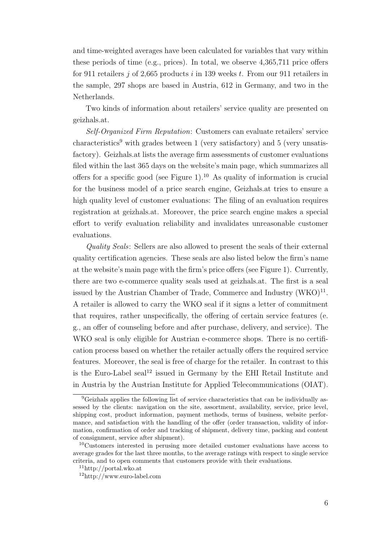and time-weighted averages have been calculated for variables that vary within these periods of time (e.g., prices). In total, we observe 4,365,711 price offers for 911 retailers j of 2,665 products i in 139 weeks t. From our 911 retailers in the sample, 297 shops are based in Austria, 612 in Germany, and two in the Netherlands.

Two kinds of information about retailers' service quality are presented on geizhals.at.

Self-Organized Firm Reputation: Customers can evaluate retailers' service  $\rm characteristics<sup>9</sup>$  with grades between 1 (very satisfactory) and 5 (very unsatisfactory). Geizhals.at lists the average firm assessments of customer evaluations filed within the last 365 days on the website's main page, which summarizes all offers for a specific good (see Figure 1).<sup>10</sup> As quality of information is crucial for the business model of a price search engine, Geizhals.at tries to ensure a high quality level of customer evaluations: The filing of an evaluation requires registration at geizhals.at. Moreover, the price search engine makes a special effort to verify evaluation reliability and invalidates unreasonable customer evaluations.

Quality Seals: Sellers are also allowed to present the seals of their external quality certification agencies. These seals are also listed below the firm's name at the website's main page with the firm's price offers (see Figure 1). Currently, there are two e-commerce quality seals used at geizhals.at. The first is a seal issued by the Austrian Chamber of Trade, Commerce and Industry  $(WKO)^{11}$ . A retailer is allowed to carry the WKO seal if it signs a letter of commitment that requires, rather unspecifically, the offering of certain service features (e. g., an offer of counseling before and after purchase, delivery, and service). The WKO seal is only eligible for Austrian e-commerce shops. There is no certification process based on whether the retailer actually offers the required service features. Moreover, the seal is free of charge for the retailer. In contrast to this is the Euro-Label seal<sup>12</sup> issued in Germany by the EHI Retail Institute and in Austria by the Austrian Institute for Applied Telecommunications (OIAT).

<sup>9</sup>Geizhals applies the following list of service characteristics that can be individually assessed by the clients: navigation on the site, assortment, availability, service, price level, shipping cost, product information, payment methods, terms of business, website performance, and satisfaction with the handling of the offer (order transaction, validity of information, confirmation of order and tracking of shipment, delivery time, packing and content of consignment, service after shipment).

<sup>10</sup>Customers interested in perusing more detailed customer evaluations have access to average grades for the last three months, to the average ratings with respect to single service criteria, and to open comments that customers provide with their evaluations.

<sup>11</sup>http://portal.wko.at

<sup>12</sup>http://www.euro-label.com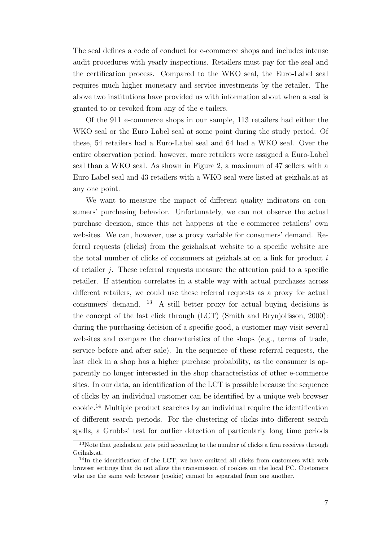The seal defines a code of conduct for e-commerce shops and includes intense audit procedures with yearly inspections. Retailers must pay for the seal and the certification process. Compared to the WKO seal, the Euro-Label seal requires much higher monetary and service investments by the retailer. The above two institutions have provided us with information about when a seal is granted to or revoked from any of the e-tailers.

Of the 911 e-commerce shops in our sample, 113 retailers had either the WKO seal or the Euro Label seal at some point during the study period. Of these, 54 retailers had a Euro-Label seal and 64 had a WKO seal. Over the entire observation period, however, more retailers were assigned a Euro-Label seal than a WKO seal. As shown in Figure 2, a maximum of 47 sellers with a Euro Label seal and 43 retailers with a WKO seal were listed at geizhals.at at any one point.

We want to measure the impact of different quality indicators on consumers' purchasing behavior. Unfortunately, we can not observe the actual purchase decision, since this act happens at the e-commerce retailers' own websites. We can, however, use a proxy variable for consumers' demand. Referral requests (clicks) from the geizhals.at website to a specific website are the total number of clicks of consumers at geizhals.at on a link for product i of retailer j. These referral requests measure the attention paid to a specific retailer. If attention correlates in a stable way with actual purchases across different retailers, we could use these referral requests as a proxy for actual consumers' demand. <sup>13</sup> A still better proxy for actual buying decisions is the concept of the last click through (LCT) (Smith and Brynjolfsson, 2000): during the purchasing decision of a specific good, a customer may visit several websites and compare the characteristics of the shops (e.g., terms of trade, service before and after sale). In the sequence of these referral requests, the last click in a shop has a higher purchase probability, as the consumer is apparently no longer interested in the shop characteristics of other e-commerce sites. In our data, an identification of the LCT is possible because the sequence of clicks by an individual customer can be identified by a unique web browser cookie.<sup>14</sup> Multiple product searches by an individual require the identification of different search periods. For the clustering of clicks into different search spells, a Grubbs' test for outlier detection of particularly long time periods

<sup>13</sup>Note that geizhals.at gets paid according to the number of clicks a firm receives through Geihals.at.

 $14$ In the identification of the LCT, we have omitted all clicks from customers with web browser settings that do not allow the transmission of cookies on the local PC. Customers who use the same web browser (cookie) cannot be separated from one another.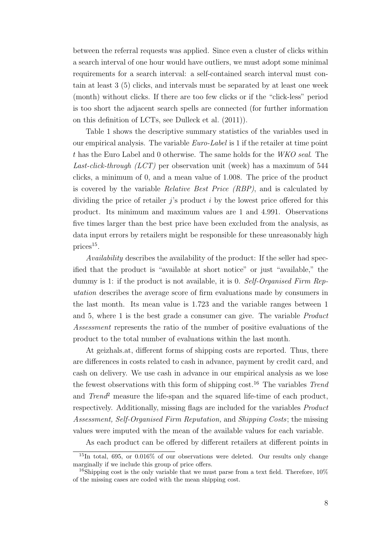between the referral requests was applied. Since even a cluster of clicks within a search interval of one hour would have outliers, we must adopt some minimal requirements for a search interval: a self-contained search interval must contain at least 3 (5) clicks, and intervals must be separated by at least one week (month) without clicks. If there are too few clicks or if the "click-less" period is too short the adjacent search spells are connected (for further information on this definition of LCTs, see Dulleck et al. (2011)).

Table 1 shows the descriptive summary statistics of the variables used in our empirical analysis. The variable Euro-Label is 1 if the retailer at time point t has the Euro Label and 0 otherwise. The same holds for the WKO seal. The Last-click-through (LCT) per observation unit (week) has a maximum of 544 clicks, a minimum of 0, and a mean value of 1.008. The price of the product is covered by the variable Relative Best Price (RBP), and is calculated by dividing the price of retailer  $i$ 's product i by the lowest price offered for this product. Its minimum and maximum values are 1 and 4.991. Observations five times larger than the best price have been excluded from the analysis, as data input errors by retailers might be responsible for these unreasonably high  $\text{prices}^{15}.$ 

Availability describes the availability of the product: If the seller had specified that the product is "available at short notice" or just "available," the dummy is 1: if the product is not available, it is 0. Self-Organised Firm Reputation describes the average score of firm evaluations made by consumers in the last month. Its mean value is 1.723 and the variable ranges between 1 and 5, where 1 is the best grade a consumer can give. The variable Product Assessment represents the ratio of the number of positive evaluations of the product to the total number of evaluations within the last month.

At geizhals.at, different forms of shipping costs are reported. Thus, there are differences in costs related to cash in advance, payment by credit card, and cash on delivery. We use cash in advance in our empirical analysis as we lose the fewest observations with this form of shipping  $cost^{16}$ . The variables Trend and  $Trend^2$  measure the life-span and the squared life-time of each product, respectively. Additionally, missing flags are included for the variables Product Assessment, Self-Organised Firm Reputation, and Shipping Costs; the missing values were imputed with the mean of the available values for each variable.

As each product can be offered by different retailers at different points in

<sup>15</sup>In total, 695, or 0.016% of our observations were deleted. Our results only change marginally if we include this group of price offers.

<sup>&</sup>lt;sup>16</sup>Shipping cost is the only variable that we must parse from a text field. Therefore,  $10\%$ of the missing cases are coded with the mean shipping cost.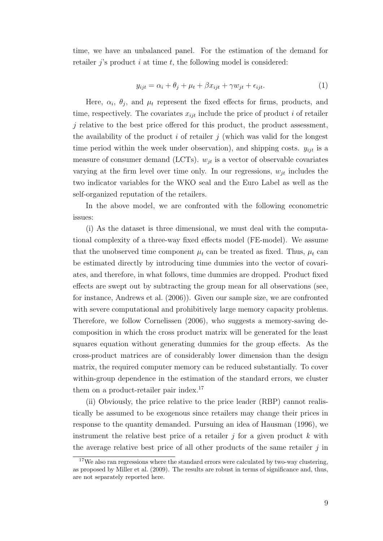time, we have an unbalanced panel. For the estimation of the demand for retailer  $i$ 's product i at time t, the following model is considered:

$$
y_{ijt} = \alpha_i + \theta_j + \mu_t + \beta x_{ijt} + \gamma w_{jt} + \epsilon_{ijt}.
$$
\n<sup>(1)</sup>

Here,  $\alpha_i$ ,  $\theta_j$ , and  $\mu_t$  represent the fixed effects for firms, products, and time, respectively. The covariates  $x_{ijt}$  include the price of product i of retailer j relative to the best price offered for this product, the product assessment, the availability of the product  $i$  of retailer  $j$  (which was valid for the longest time period within the week under observation), and shipping costs.  $y_{ijt}$  is a measure of consumer demand (LCTs).  $w_{it}$  is a vector of observable covariates varying at the firm level over time only. In our regressions,  $w_{it}$  includes the two indicator variables for the WKO seal and the Euro Label as well as the self-organized reputation of the retailers.

In the above model, we are confronted with the following econometric issues:

(i) As the dataset is three dimensional, we must deal with the computational complexity of a three-way fixed effects model (FE-model). We assume that the unobserved time component  $\mu_t$  can be treated as fixed. Thus,  $\mu_t$  can be estimated directly by introducing time dummies into the vector of covariates, and therefore, in what follows, time dummies are dropped. Product fixed effects are swept out by subtracting the group mean for all observations (see, for instance, Andrews et al. (2006)). Given our sample size, we are confronted with severe computational and prohibitively large memory capacity problems. Therefore, we follow Cornelissen (2006), who suggests a memory-saving decomposition in which the cross product matrix will be generated for the least squares equation without generating dummies for the group effects. As the cross-product matrices are of considerably lower dimension than the design matrix, the required computer memory can be reduced substantially. To cover within-group dependence in the estimation of the standard errors, we cluster them on a product-retailer pair index.<sup>17</sup>

(ii) Obviously, the price relative to the price leader (RBP) cannot realistically be assumed to be exogenous since retailers may change their prices in response to the quantity demanded. Pursuing an idea of Hausman (1996), we instrument the relative best price of a retailer  $j$  for a given product k with the average relative best price of all other products of the same retailer  $j$  in

 $17$ We also ran regressions where the standard errors were calculated by two-way clustering, as proposed by Miller et al. (2009). The results are robust in terms of significance and, thus, are not separately reported here.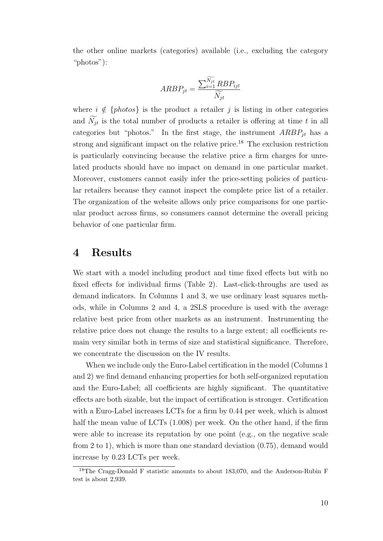the other online markets (categories) available (i.e., excluding the category "photos"):

$$
ARBP_{jt} = \frac{\sum_{i=1}^{\widetilde{N_{jt}}} RBP_{ijt}}{\widetilde{N_{jt}}}
$$

where  $i \notin \{photos\}$  is the product a retailer j is listing in other categories and  $\widetilde{N}_{jt}$  is the total number of products a retailer is offering at time t in all categories but "photos." In the first stage, the instrument  $ARBP_{jt}$  has a strong and significant impact on the relative price.<sup>18</sup> The exclusion restriction is particularly convincing because the relative price a firm charges for unrelated products should have no impact on demand in one particular market. Moreover, customers cannot easily infer the price-setting policies of particular retailers because they cannot inspect the complete price list of a retailer. The organization of the website allows only price comparisons for one particular product across firms, so consumers cannot determine the overall pricing behavior of one particular firm.

#### 4 Results

We start with a model including product and time fixed effects but with no fixed effects for individual firms (Table 2). Last-click-throughs are used as demand indicators. In Columns 1 and 3, we use ordinary least squares methods, while in Columns 2 and 4, a 2SLS procedure is used with the average relative best price from other markets as an instrument. Instrumenting the relative price does not change the results to a large extent; all coefficients remain very similar both in terms of size and statistical significance. Therefore, we concentrate the discussion on the IV results.

When we include only the Euro-Label certification in the model (Columns 1 and 2) we find demand enhancing properties for both self-organized reputation and the Euro-Label; all coefficients are highly significant. The quantitative effects are both sizable, but the impact of certification is stronger. Certification with a Euro-Label increases LCTs for a firm by 0.44 per week, which is almost half the mean value of LCTs  $(1.008)$  per week. On the other hand, if the firm were able to increase its reputation by one point (e.g., on the negative scale from 2 to 1), which is more than one standard deviation (0.75), demand would increase by 0.23 LCTs per week.

<sup>18</sup>The Cragg-Donald F statistic amounts to about 183,070, and the Anderson-Rubin F test is about 2,939.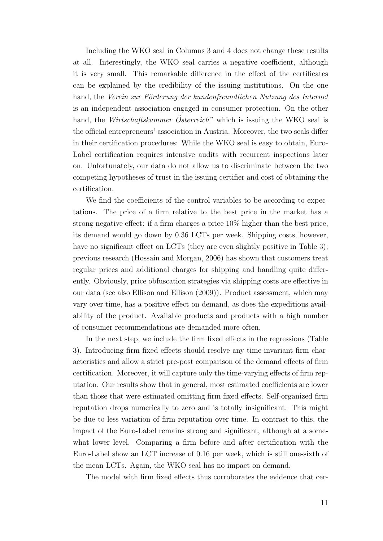Including the WKO seal in Columns 3 and 4 does not change these results at all. Interestingly, the WKO seal carries a negative coefficient, although it is very small. This remarkable difference in the effect of the certificates can be explained by the credibility of the issuing institutions. On the one hand, the Verein zur Förderung der kundenfreundlichen Nutzung des Internet is an independent association engaged in consumer protection. On the other hand, the *Wirtschaftskammer*  $Österreich$ <sup>"</sup> which is issuing the WKO seal is the official entrepreneurs' association in Austria. Moreover, the two seals differ in their certification procedures: While the WKO seal is easy to obtain, Euro-Label certification requires intensive audits with recurrent inspections later on. Unfortunately, our data do not allow us to discriminate between the two competing hypotheses of trust in the issuing certifier and cost of obtaining the certification.

We find the coefficients of the control variables to be according to expectations. The price of a firm relative to the best price in the market has a strong negative effect: if a firm charges a price 10% higher than the best price, its demand would go down by 0.36 LCTs per week. Shipping costs, however, have no significant effect on LCTs (they are even slightly positive in Table 3); previous research (Hossain and Morgan, 2006) has shown that customers treat regular prices and additional charges for shipping and handling quite differently. Obviously, price obfuscation strategies via shipping costs are effective in our data (see also Ellison and Ellison (2009)). Product assessment, which may vary over time, has a positive effect on demand, as does the expeditious availability of the product. Available products and products with a high number of consumer recommendations are demanded more often.

In the next step, we include the firm fixed effects in the regressions (Table 3). Introducing firm fixed effects should resolve any time-invariant firm characteristics and allow a strict pre-post comparison of the demand effects of firm certification. Moreover, it will capture only the time-varying effects of firm reputation. Our results show that in general, most estimated coefficients are lower than those that were estimated omitting firm fixed effects. Self-organized firm reputation drops numerically to zero and is totally insignificant. This might be due to less variation of firm reputation over time. In contrast to this, the impact of the Euro-Label remains strong and significant, although at a somewhat lower level. Comparing a firm before and after certification with the Euro-Label show an LCT increase of 0.16 per week, which is still one-sixth of the mean LCTs. Again, the WKO seal has no impact on demand.

The model with firm fixed effects thus corroborates the evidence that cer-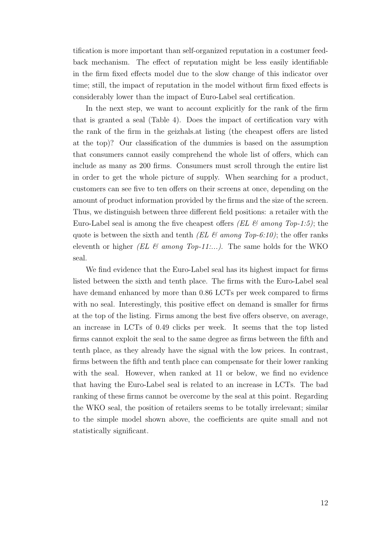tification is more important than self-organized reputation in a costumer feedback mechanism. The effect of reputation might be less easily identifiable in the firm fixed effects model due to the slow change of this indicator over time; still, the impact of reputation in the model without firm fixed effects is considerably lower than the impact of Euro-Label seal certification.

In the next step, we want to account explicitly for the rank of the firm that is granted a seal (Table 4). Does the impact of certification vary with the rank of the firm in the geizhals.at listing (the cheapest offers are listed at the top)? Our classification of the dummies is based on the assumption that consumers cannot easily comprehend the whole list of offers, which can include as many as 200 firms. Consumers must scroll through the entire list in order to get the whole picture of supply. When searching for a product, customers can see five to ten offers on their screens at once, depending on the amount of product information provided by the firms and the size of the screen. Thus, we distinguish between three different field positions: a retailer with the Euro-Label seal is among the five cheapest offers (EL  $\mathcal B$  among Top-1:5); the quote is between the sixth and tenth (EL  $\mathcal C$  among Top-6:10); the offer ranks eleventh or higher (EL & among Top-11:...). The same holds for the WKO seal.

We find evidence that the Euro-Label seal has its highest impact for firms listed between the sixth and tenth place. The firms with the Euro-Label seal have demand enhanced by more than 0.86 LCTs per week compared to firms with no seal. Interestingly, this positive effect on demand is smaller for firms at the top of the listing. Firms among the best five offers observe, on average, an increase in LCTs of 0.49 clicks per week. It seems that the top listed firms cannot exploit the seal to the same degree as firms between the fifth and tenth place, as they already have the signal with the low prices. In contrast, firms between the fifth and tenth place can compensate for their lower ranking with the seal. However, when ranked at 11 or below, we find no evidence that having the Euro-Label seal is related to an increase in LCTs. The bad ranking of these firms cannot be overcome by the seal at this point. Regarding the WKO seal, the position of retailers seems to be totally irrelevant; similar to the simple model shown above, the coefficients are quite small and not statistically significant.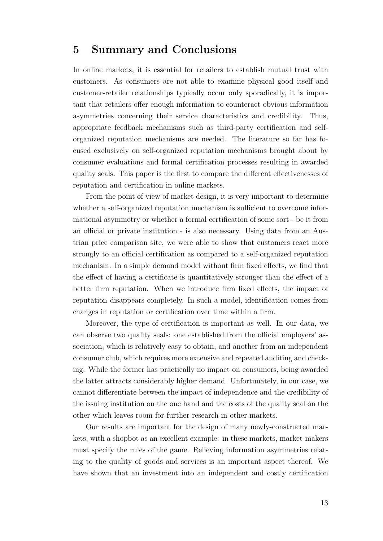### 5 Summary and Conclusions

In online markets, it is essential for retailers to establish mutual trust with customers. As consumers are not able to examine physical good itself and customer-retailer relationships typically occur only sporadically, it is important that retailers offer enough information to counteract obvious information asymmetries concerning their service characteristics and credibility. Thus, appropriate feedback mechanisms such as third-party certification and selforganized reputation mechanisms are needed. The literature so far has focused exclusively on self-organized reputation mechanisms brought about by consumer evaluations and formal certification processes resulting in awarded quality seals. This paper is the first to compare the different effectivenesses of reputation and certification in online markets.

From the point of view of market design, it is very important to determine whether a self-organized reputation mechanism is sufficient to overcome informational asymmetry or whether a formal certification of some sort - be it from an official or private institution - is also necessary. Using data from an Austrian price comparison site, we were able to show that customers react more strongly to an official certification as compared to a self-organized reputation mechanism. In a simple demand model without firm fixed effects, we find that the effect of having a certificate is quantitatively stronger than the effect of a better firm reputation. When we introduce firm fixed effects, the impact of reputation disappears completely. In such a model, identification comes from changes in reputation or certification over time within a firm.

Moreover, the type of certification is important as well. In our data, we can observe two quality seals: one established from the official employers' association, which is relatively easy to obtain, and another from an independent consumer club, which requires more extensive and repeated auditing and checking. While the former has practically no impact on consumers, being awarded the latter attracts considerably higher demand. Unfortunately, in our case, we cannot differentiate between the impact of independence and the credibility of the issuing institution on the one hand and the costs of the quality seal on the other which leaves room for further research in other markets.

Our results are important for the design of many newly-constructed markets, with a shopbot as an excellent example: in these markets, market-makers must specify the rules of the game. Relieving information asymmetries relating to the quality of goods and services is an important aspect thereof. We have shown that an investment into an independent and costly certification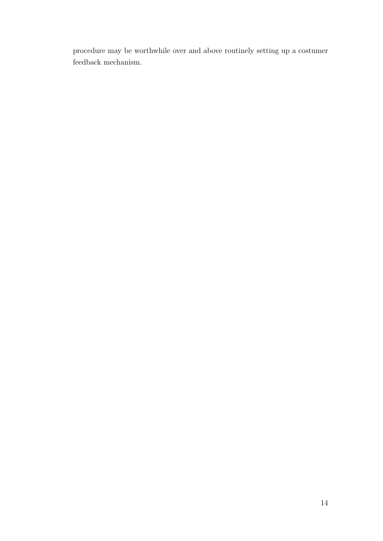procedure may be worthwhile over and above routinely setting up a costumer feedback mechanism.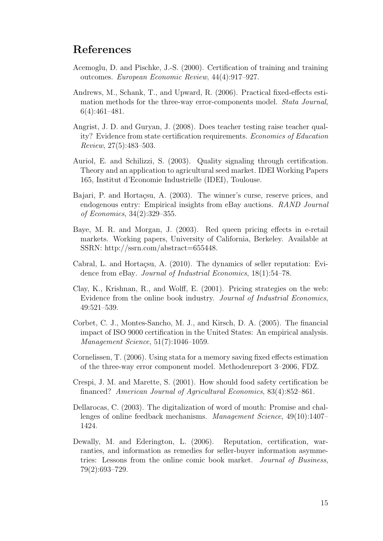#### References

- Acemoglu, D. and Pischke, J.-S. (2000). Certification of training and training outcomes. European Economic Review, 44(4):917–927.
- Andrews, M., Schank, T., and Upward, R. (2006). Practical fixed-effects estimation methods for the three-way error-components model. Stata Journal, 6(4):461–481.
- Angrist, J. D. and Guryan, J. (2008). Does teacher testing raise teacher quality? Evidence from state certification requirements. Economics of Education Review, 27(5):483–503.
- Auriol, E. and Schilizzi, S. (2003). Quality signaling through certification. Theory and an application to agricultural seed market. IDEI Working Papers 165, Institut d'Economie Industrielle (IDEI), Toulouse.
- Bajari, P. and Hortaçsu, A. (2003). The winner's curse, reserve prices, and endogenous entry: Empirical insights from eBay auctions. RAND Journal of Economics, 34(2):329–355.
- Baye, M. R. and Morgan, J. (2003). Red queen pricing effects in e-retail markets. Working papers, University of California, Berkeley. Available at SSRN: http://ssrn.com/abstract=655448.
- Cabral, L. and Hortacsu, A.  $(2010)$ . The dynamics of seller reputation: Evidence from eBay. Journal of Industrial Economics, 18(1):54–78.
- Clay, K., Krishnan, R., and Wolff, E. (2001). Pricing strategies on the web: Evidence from the online book industry. Journal of Industrial Economics, 49:521–539.
- Corbet, C. J., Montes-Sancho, M. J., and Kirsch, D. A. (2005). The financial impact of ISO 9000 certification in the United States: An empirical analysis. Management Science, 51(7):1046–1059.
- Cornelissen, T. (2006). Using stata for a memory saving fixed effects estimation of the three-way error component model. Methodenreport 3–2006, FDZ.
- Crespi, J. M. and Marette, S. (2001). How should food safety certification be financed? American Journal of Agricultural Economics, 83(4):852–861.
- Dellarocas, C. (2003). The digitalization of word of mouth: Promise and challenges of online feedback mechanisms. Management Science, 49(10):1407– 1424.
- Dewally, M. and Ederington, L. (2006). Reputation, certification, warranties, and information as remedies for seller-buyer information asymmetries: Lessons from the online comic book market. Journal of Business, 79(2):693–729.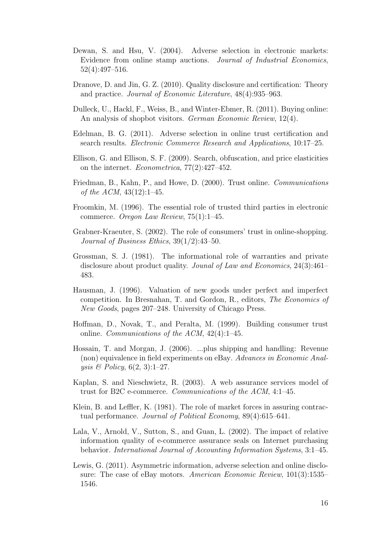- Dewan, S. and Hsu, V. (2004). Adverse selection in electronic markets: Evidence from online stamp auctions. Journal of Industrial Economics, 52(4):497–516.
- Dranove, D. and Jin, G. Z. (2010). Quality disclosure and certification: Theory and practice. Journal of Economic Literature, 48(4):935–963.
- Dulleck, U., Hackl, F., Weiss, B., and Winter-Ebmer, R. (2011). Buying online: An analysis of shopbot visitors. German Economic Review, 12(4).
- Edelman, B. G. (2011). Adverse selection in online trust certification and search results. Electronic Commerce Research and Applications, 10:17–25.
- Ellison, G. and Ellison, S. F. (2009). Search, obfuscation, and price elasticities on the internet. Econometrica, 77(2):427–452.
- Friedman, B., Kahn, P., and Howe, D. (2000). Trust online. Communications of the ACM,  $43(12):1-45$ .
- Froomkin, M. (1996). The essential role of trusted third parties in electronic commerce. Oregon Law Review, 75(1):1–45.
- Grabner-Kraeuter, S. (2002). The role of consumers' trust in online-shopping. Journal of Business Ethics, 39(1/2):43–50.
- Grossman, S. J. (1981). The informational role of warranties and private disclosure about product quality. Jounal of Law and Economics, 24(3):461– 483.
- Hausman, J. (1996). Valuation of new goods under perfect and imperfect competition. In Bresnahan, T. and Gordon, R., editors, The Economics of New Goods, pages 207–248. University of Chicago Press.
- Hoffman, D., Novak, T., and Peralta, M. (1999). Building consumer trust online. Communications of the ACM, 42(4):1–45.
- Hossain, T. and Morgan, J. (2006). ...plus shipping and handling: Revenue (non) equivalence in field experiments on eBay. Advances in Economic Analysis  $\&$  Policy, 6(2, 3):1–27.
- Kaplan, S. and Nieschwietz, R. (2003). A web assurance services model of trust for B2C e-commerce. Communications of the ACM, 4:1–45.
- Klein, B. and Leffler, K. (1981). The role of market forces in assuring contractual performance. Journal of Political Economy, 89(4):615–641.
- Lala, V., Arnold, V., Sutton, S., and Guan, L. (2002). The impact of relative information quality of e-commerce assurance seals on Internet purchasing behavior. International Journal of Accounting Information Systems, 3:1–45.
- Lewis, G. (2011). Asymmetric information, adverse selection and online disclosure: The case of eBay motors. American Economic Review, 101(3):1535– 1546.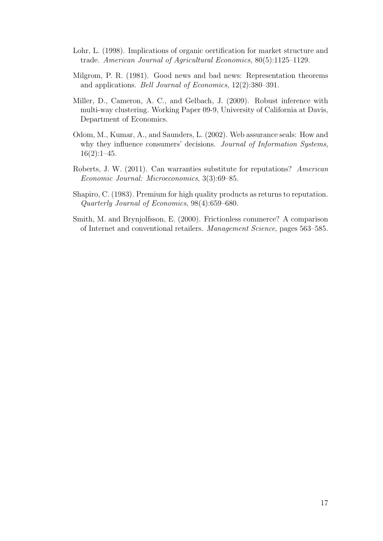- Lohr, L. (1998). Implications of organic oertification for market structure and trade. American Journal of Agricultural Economics, 80(5):1125–1129.
- Milgrom, P. R. (1981). Good news and bad news: Representation theorems and applications. Bell Journal of Economics, 12(2):380–391.
- Miller, D., Cameron, A. C., and Gelbach, J. (2009). Robust inference with multi-way clustering. Working Paper 09-9, University of California at Davis, Department of Economics.
- Odom, M., Kumar, A., and Saunders, L. (2002). Web assurance seals: How and why they influence consumers' decisions. Journal of Information Systems,  $16(2):1-45.$
- Roberts, J. W. (2011). Can warranties substitute for reputations? American Economic Journal: Microeconomics, 3(3):69–85.
- Shapiro, C. (1983). Premium for high quality products as returns to reputation. Quarterly Journal of Economics, 98(4):659–680.
- Smith, M. and Brynjolfsson, E. (2000). Frictionless commerce? A comparison of Internet and conventional retailers. Management Science, pages 563–585.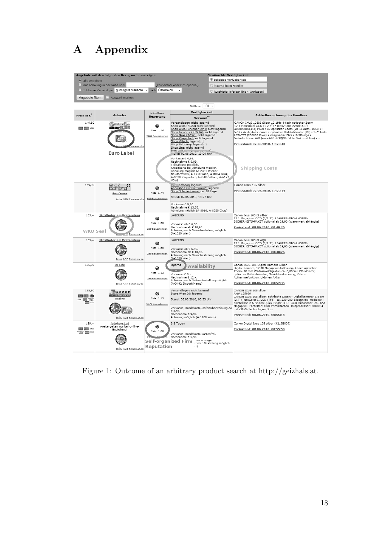# A Appendix

| <sup>o</sup> alle Angebote                      | Angebote mit den folgenden bezugsarten anzeigen:                                            |                                      | <b>Gewunschte verfugbarkeit:</b><br><b>O</b> beliebige Verfügbarkeit                                                                                                                                                                                                                                                             |                                                                                                                                                                                                                                                                                                                                                                                                                    |
|-------------------------------------------------|---------------------------------------------------------------------------------------------|--------------------------------------|----------------------------------------------------------------------------------------------------------------------------------------------------------------------------------------------------------------------------------------------------------------------------------------------------------------------------------|--------------------------------------------------------------------------------------------------------------------------------------------------------------------------------------------------------------------------------------------------------------------------------------------------------------------------------------------------------------------------------------------------------------------|
|                                                 | nur Abholung in der Nähe von:                                                               |                                      | (Postleitzahl oder Ort, optional)<br>Blagernd beim Händler                                                                                                                                                                                                                                                                       |                                                                                                                                                                                                                                                                                                                                                                                                                    |
|                                                 | Inklusive Versand per günstigste Variante v nach Österreich                                 |                                      | $\blacktriangledown$                                                                                                                                                                                                                                                                                                             | C kurzfristig lieferbar (bis 4 Werktage)                                                                                                                                                                                                                                                                                                                                                                           |
| Angebote filtern                                | Auswahl merken                                                                              |                                      |                                                                                                                                                                                                                                                                                                                                  |                                                                                                                                                                                                                                                                                                                                                                                                                    |
|                                                 |                                                                                             |                                      | Blättern: 100 -                                                                                                                                                                                                                                                                                                                  |                                                                                                                                                                                                                                                                                                                                                                                                                    |
|                                                 |                                                                                             | Händler-                             | Verfügbarkeit                                                                                                                                                                                                                                                                                                                    |                                                                                                                                                                                                                                                                                                                                                                                                                    |
| Preis in $\varepsilon^*$                        | Anbieter                                                                                    | Bewertung                            | Versand <sup>**</sup>                                                                                                                                                                                                                                                                                                            | Artikelbezeichnung des Händlers                                                                                                                                                                                                                                                                                                                                                                                    |
| 149,80<br><b>CHINE WISA</b>                     | electronic <sup>2</sup> you<br><b>HOLSHOPSALZBURG</b><br>umsuche                            | ⊕<br>Note: 1,16<br>2704 Bewertungen  | Versandlager: nicht lagernd<br>Shop Wien (SCS): nicht lagernd<br>Shop Wien (Brünner Str.): nicht lagernd<br>Shop Innsbruck (CYTA): nicht lagernd<br>Shop Graz (SCW): nicht lagernd<br><u>Shop Klagenfurt:</u> nicht lagernd<br>Shop Villach: lagernd: 1<br>Shop Salzburg: lagernd: 1<br>Shop Linz: nicht lagernd<br>bitte anfrom | CANON IXUS 105IS Silber 12,1Mio,4-fach optischer Zoom<br>12.1 Megapixel CCD (1 2.3") • max.4000x2248(16:9)<br>4000x3000(4:3) Pixel . 4x optischer Zoom (28-112mm, 1:2.8-1:<br>5.9) • 4x digitaler Zoom • optischer Bildstabilisator (IS) • 2.7" Farb-<br>LCD-TFT (230000 Pixel) · integrierter Blitz · PictBridge ·<br>Videofunktion: AVI (max.640x480@30 Bilder Sek. mit Ton)<br>Preisstand: 02.06.2010, 19:20:43 |
|                                                 | <b>Euro Label</b>                                                                           |                                      | Claric: 02.06.2010, 19:09 Uhr<br>Vorkasse € 4,99.<br>Nachnahme € 9,99.<br>Teilzahlung möglich.<br>Kreditkarte bei Abholung möglich.<br>Abholung möglich (A-2351 Wiener<br>Neudorf/SCS, A-1210 Wien, A-8054 Graz,<br>A-9020 Klagenfurt, A-9500 Villach, A-6177<br>Völs)                                                           | <b>Shipping Costs</b>                                                                                                                                                                                                                                                                                                                                                                                              |
| 149,90                                          | d<br>camera<br>Graz Camera<br><b>Infos AGB Forumsuche</b>                                   | Note: 1,74<br>610 Bewertungen        | Ve. _ ndlager: lagernd<br>Abholshop Karrauersu ape: lagernd<br>Shop Schmiedgasse: ca. 10 Tage<br>Stand: 02.06.2010, 18:27 Uhr<br>Vorkasse € 9,90.                                                                                                                                                                                | Canon IXUS 105 silber<br>Preisstand: 02.06.2010, 19:20:14                                                                                                                                                                                                                                                                                                                                                          |
|                                                 |                                                                                             |                                      | Nachnahme € 13,53.<br>Abholung möglich (A-8010, A-8020 Graz)                                                                                                                                                                                                                                                                     |                                                                                                                                                                                                                                                                                                                                                                                                                    |
| 155,                                            | Stohlhofer am Praterstern                                                                   |                                      | LAGERND                                                                                                                                                                                                                                                                                                                          | Canon Ixus 105 iS silber                                                                                                                                                                                                                                                                                                                                                                                           |
| WKO Seal                                        | UB Forumsuche                                                                               | Note: 1,58<br>250 Bewertungen        | Vorkasse ab € 6,90.<br>Nachnahme ab € 10,90.<br>Abholung nach Onlinebestellung möglich<br>(A-1020 Wien)                                                                                                                                                                                                                          | 12.1 Megapixel CCD (1/2.3") 5 JAHRES-STOHLHOFER-<br>SICHERHEITS-PAKET optional ab 29,90 (Warenwert abhängig)<br>Preisstand: 08.06.2010, 00:40:26                                                                                                                                                                                                                                                                   |
| $155,-$                                         | Stohlhofer am Praterstern                                                                   |                                      | LAGERND                                                                                                                                                                                                                                                                                                                          | Canon Ixus 105 iS AQU                                                                                                                                                                                                                                                                                                                                                                                              |
|                                                 | <b>Infos AGB Forumsuche</b>                                                                 | G<br>Note: 1,58<br>250 Bewertungen   | Vorkasse ab € 6,90.<br>Nachnahme ab € 10,90.<br>Abholung nach Onlinebestellung möglich<br>(A-1020 Wien)                                                                                                                                                                                                                          | 12.1 Megapixel CCD (1/2.3") 5 JAHRES-STOHLHOFER-<br>SICHERHEITS-PAKET optional ab 29,90 (Warenwert abhängig)<br>Preisstand: 08.06.2010, 00:40:26                                                                                                                                                                                                                                                                   |
| 155,90                                          | Di-Life<br><b>Infos AGB Forumsuche</b>                                                      | @<br>Note: 1,12<br>389 Bewertungen   | lagernd<br>Availability<br>Vorkasse € 5,-.<br>Nachnahme € 12,-<br>Abholung nach Online-Bestellung möglich<br>(A-3492 Etsdorf/Kamp)                                                                                                                                                                                               | Canon IXUS 105 Digital-Kamera Silber<br>Digital-Kamera, 12,10 Megapixel Auflösung, 4-fach optischer<br>Zoom, 28 mm Weitwinkelobjektiv, ca. 6,80cm LCD-Monitor,<br>optischer Bildstabilisator, Gesichtserkennung, Video-<br>Aufnahmefunktion, Li-Ionen Akku<br>Preisstand: 08.06.2010, 00:52:35                                                                                                                     |
| 155,90<br>$= 0$<br>VISA<br><b>STORY</b> CONTROL | seven<br>rabbitts<br><b>7rabbits</b><br><b>Infos AGB Forumsuche</b>                         | ⋒<br>Note: 1,19<br>1377 Bewertungen  | Versandlager: nicht lagernd<br>Store Wien 20: lagernd<br>Stand: 08.06.2010, 00:53 Uhr<br>Vorkasse, Kreditkarte, sofortüberweisung.de<br>€ 5,99.<br>Nachnahme € 9,99.<br>Abholung möglich (A-1200 Wien)                                                                                                                           | CANON IXUS 105 silber<br>Art# 125899<br>CANON IXUS 105 silberTechnische Daten: - Digitalkamera- 6,8 cm<br>(2,7") PureColor II LCD (TFT)- ca. 230.000 Bildpunkte- Helligkeit:<br>einstellbar in 5 Stufen Quick-Bright-LCD- CCD-Bildsensor- ca. 12,1<br>Megapixel- Farbfilter: RGB-Primärfarben- Bildprozessor: DIGIC 4<br>mit iSAPS-Technologie- Br<br>Preisstand: 08.06.2010, 00:55:18                             |
| $159,-$<br>VISA<br><b>September</b>             | fotohorst.at<br>Preise gelten nur bei Online-<br>Bestellung!<br><b>Infos AGB Forumsuche</b> | ₩<br>Note: 1,08<br><b>Reputation</b> | 2-3 Tagen<br>Vorkasse, Kreditkarte kostenfrei.<br>Nachnahme € 5,90.<br>Self-organized Firm the Antrage.<br>ternet-Bestellung möglich<br>irt)                                                                                                                                                                                     | Canon Digital Ixus 105 silber (4219B009)<br>Preisstand: 08.06.2010, 00:55:50                                                                                                                                                                                                                                                                                                                                       |
|                                                 |                                                                                             |                                      |                                                                                                                                                                                                                                                                                                                                  |                                                                                                                                                                                                                                                                                                                                                                                                                    |

Figure 1: Outcome of an arbitrary product search at http://geizhals.at.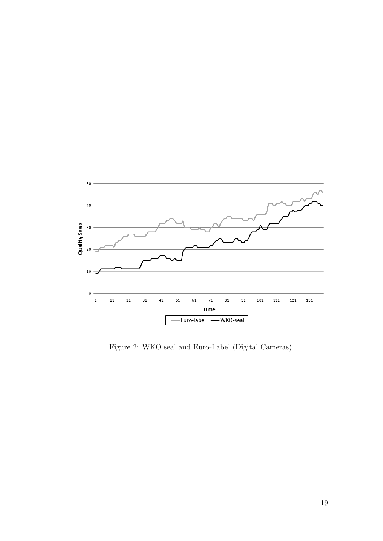

Figure 2: WKO seal and Euro-Label (Digital Cameras)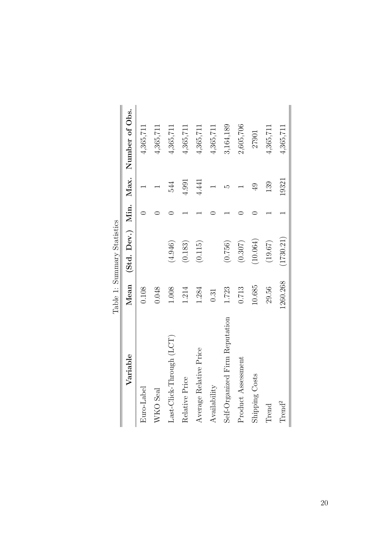|                                |          | Table 1: Summary Statistics |                |                                      |
|--------------------------------|----------|-----------------------------|----------------|--------------------------------------|
| Variable                       | Mean     |                             |                | (Std. Dev.) Min. Max. Number of Obs. |
| $\rm Euro\text{-}Label$        | 0.108    |                             |                | 4,365,711                            |
| WKO Seal                       | 0.048    |                             |                | 4,365,711                            |
| Last-Click-Through (LCT)       | 1.008    | (4.946)                     | 544            | 4,365,711                            |
| Relative Price                 | 1.214    | (0.183)                     | 4.991          | 4,365,711                            |
| Average Relative Price         | 1.284    | (0.115)                     | 4.441          | 4,365,711                            |
| $Avalidability$                | 0.31     |                             |                | 4,365,711                            |
| Self-Organized Firm Reputation | 1.723    | (0.756)                     | عد             | 3,164,189                            |
| Product Assessment             | 0.713    | (0.307)                     |                | 2,605,706                            |
| Shipping Costs                 | 10.685   | (10.064)                    | $\overline{6}$ | 27901                                |
| Trend                          | 29.56    | (19.67)                     | 139            | 4,365,711                            |
| Trend <sup>2</sup>             | 1260.268 | 1730.21)                    | 19321          | 4,365,711                            |

 $\frac{1}{\sqrt{2}}$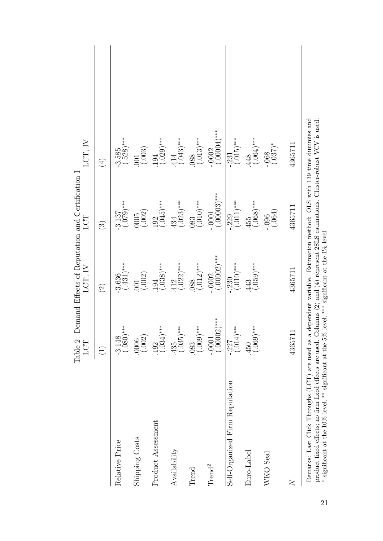|                                                                                                                                                                                                        | Table 2:<br>LCT                           | LCT, IV                        | Demand Effects of Reputation and Certification I<br>LCT              | LCT, IV                          |
|--------------------------------------------------------------------------------------------------------------------------------------------------------------------------------------------------------|-------------------------------------------|--------------------------------|----------------------------------------------------------------------|----------------------------------|
|                                                                                                                                                                                                        | $\bigoplus$                               | $\widehat{\Omega}$             | $\widehat{\mathcal{E}}$                                              | $\bigoplus$                      |
| Relative Price                                                                                                                                                                                         | $***$<br>$-3.148$<br>(.080)*              | $-3.636$<br>(.431)***          | $\left(0.3137\atop 0.079\right)$ ***                                 | $-3.585$<br>(.528)***            |
| Shipping Costs                                                                                                                                                                                         | $(0006$<br>$(.002)$                       | $(001$<br>$(.002)$             | $(0005$<br>$(.002)$                                                  | $(001$<br>$(.003)$               |
| Product Assessment                                                                                                                                                                                     | $***$<br>$\frac{192}{(.034)}$             | $(0.038)$ ***                  | $(0.045)$ ***                                                        | $(0.029)$ ***                    |
| Availability                                                                                                                                                                                           | $***$<br>$(0.35)$ <sup>*</sup>            | $\cdot \frac{412}{(.022)^***}$ | $(0.023)$ ***                                                        | $\cdot \frac{414}{(043)^{***}}$  |
| Trend                                                                                                                                                                                                  | $(083$<br>$(.009)***$                     | $\frac{088}{(.012)^***}$       | $^{***}$ (.010) <sup>***</sup>                                       | $^{0.088}_{(.013)***}$           |
| Trend <sup>2</sup>                                                                                                                                                                                     | $-0.0001$<br>$(0.00002)***$               | $-0.0002$<br>$(.00002)***$     | $-0.0001$<br>$(.00003)***$                                           | $-0.0002$<br>$(.00004)***$       |
| Self-Organized Firm Reputation                                                                                                                                                                         | $***$<br>$\overline{-.227}$<br>$(.014)^*$ | $-.230$<br>$(.010)***$         | $\frac{229}{(.011)^***}$                                             | $\overline{.231}$<br>$(.015)***$ |
| Euro-Label                                                                                                                                                                                             | $^{***}$ (.090)                           | $(059)^***$<br>.443            | $\cdot \frac{455}{(.068)}$ ***                                       | $\cdot \frac{448}{(.064)^***}$   |
| WKO Seal                                                                                                                                                                                               |                                           |                                | (.064)<br>$-0.006$                                                   | $^{*(260)}$ .                    |
| $\overline{\mathsf{N}}$                                                                                                                                                                                | 436571                                    | 4365711                        | 4365711                                                              | 4365711                          |
| product function of fines from formal officers and income (9) and (4) and (4) meaning formation of contract that is easily in the second official of<br>Remarks: Last Click Throughs (LCT) are used as | $\mathfrak{a}$                            |                                | dependent variable. Estimation method: OLS with 139 time dummies and |                                  |

product fixed effects; no firm fixed effects are used. Columns (2) and (4) represent 2SLS estimations. Cluster-robust VCV is used. product fixed effects; no firm fixed effects are used. Columns (2) and (4) represent 2SLS estimations. Cluster-robust VCV is used.<br>\* significant at the 10% level; \*\* significant at the 5% level; \*\*\* significant at the 1% significant at the 10% level; ∗∗ significant at the 5% level; ∗∗∗ significant at the 1% level.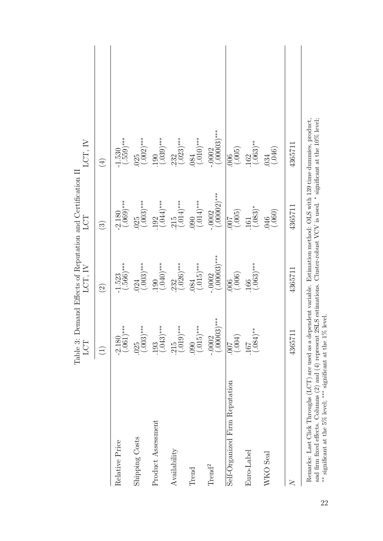|                                                                                                                                                                                                                                                                                                                                          | LCT                         | Table 3: Demand Effects of Reputation and Certification II<br>LCT, IV | LCT                        | LCT, IV                       |
|------------------------------------------------------------------------------------------------------------------------------------------------------------------------------------------------------------------------------------------------------------------------------------------------------------------------------------------|-----------------------------|-----------------------------------------------------------------------|----------------------------|-------------------------------|
|                                                                                                                                                                                                                                                                                                                                          | $\bigoplus$                 | $\widehat{\odot}$                                                     | $\widehat{\mathbb{C}}$     | $\bigoplus$                   |
| Relative Price                                                                                                                                                                                                                                                                                                                           | $-2.180$<br>(.061)***       | $-1.523$<br>(.566)***                                                 | $-2.180$<br>(.069)***      | $(0.550)$ ***                 |
| Shipping Costs                                                                                                                                                                                                                                                                                                                           | $\frac{025}{(.003)}$ ***    | $(0.003)$ ***                                                         | $(0.003)$ ***              | $(0.002)$ ***                 |
| Product Assessment                                                                                                                                                                                                                                                                                                                       | $(.043)$ ***<br>.193        | $^{190}_{(.040)***}$                                                  | $(0.044)$ ***              | $(.039)^{***}$<br>190         |
| Availability                                                                                                                                                                                                                                                                                                                             | $(0.15$<br>$(0.019)$ ***    | $(0.026)$ ***                                                         | $^{*}_{(.014)^{***}}$      | $\frac{232}{(.023)}$ ***      |
| Trend                                                                                                                                                                                                                                                                                                                                    | $(0.000)$ ***               | $^{0.084}_{(0.015)***}$                                               | $^{***}$ (10)              | $^{***}$ (010) <sup>***</sup> |
| Trend <sup>2</sup>                                                                                                                                                                                                                                                                                                                       | $-0.0002$<br>$(0.00003)***$ | $(.00003)$ ***<br>$-0.0002$                                           | $-0.0002$<br>$(.00002)***$ | $-0002$<br>$(00003)***$       |
| Self-Organized Firm Reputation                                                                                                                                                                                                                                                                                                           | (100, 00)                   | (006)                                                                 | $\frac{1000}{(005)}$       | $\frac{006}{005}$             |
| Euro-Label                                                                                                                                                                                                                                                                                                                               | $(.084)$ **<br>167          | $(0.63)$ ***<br>166                                                   | $^{161}_{(.083)*}$         | $(0.063)$ **                  |
| WKO Seal                                                                                                                                                                                                                                                                                                                                 |                             |                                                                       | $(046)$<br>$(.060)$        | $\binom{034}{046}$            |
| $\geq$                                                                                                                                                                                                                                                                                                                                   | 4365711                     | 4365711                                                               | 4365711                    | 4365711                       |
| and firm fixed effects. Columns (2) and (4) represent 2SLS estimations. Cluster-robust VCV is used. * significant at the $10\%$ level;<br>Remarks: Last Click Throughs (LCT) are used as a dependent variable. Estimation method: OLS with 139 time dummies, product,<br>** significant at the 5% level; *** significant at the 1% level |                             |                                                                       |                            |                               |